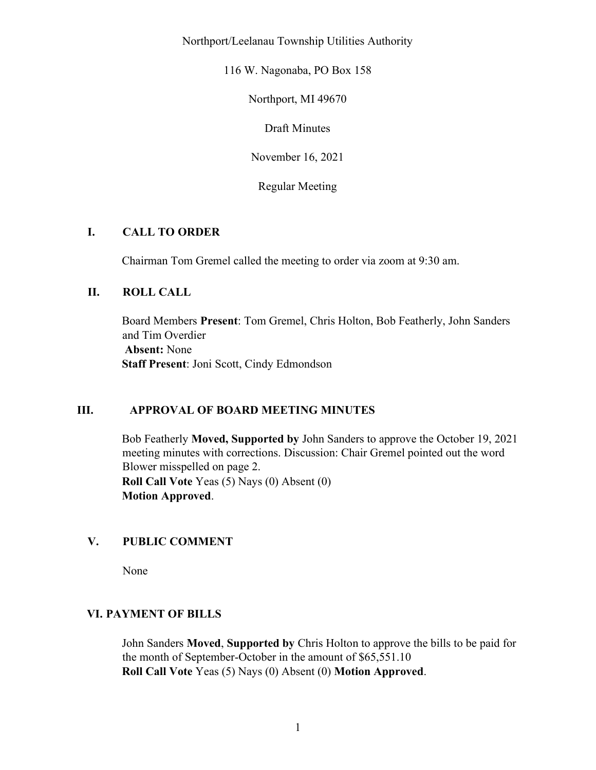Northport/Leelanau Township Utilities Authority

116 W. Nagonaba, PO Box 158

Northport, MI 49670

Draft Minutes

November 16, 2021

Regular Meeting

### I. CALL TO ORDER

Chairman Tom Gremel called the meeting to order via zoom at 9:30 am.

### II. ROLL CALL

Board Members Present: Tom Gremel, Chris Holton, Bob Featherly, John Sanders and Tim Overdier Absent: None Staff Present: Joni Scott, Cindy Edmondson

#### III. APPROVAL OF BOARD MEETING MINUTES

Bob Featherly Moved, Supported by John Sanders to approve the October 19, 2021 meeting minutes with corrections. Discussion: Chair Gremel pointed out the word Blower misspelled on page 2. Roll Call Vote Yeas (5) Nays (0) Absent (0) Motion Approved.

# V. PUBLIC COMMENT

None

#### VI. PAYMENT OF BILLS

John Sanders Moved, Supported by Chris Holton to approve the bills to be paid for the month of September-October in the amount of \$65,551.10 Roll Call Vote Yeas (5) Nays (0) Absent (0) Motion Approved.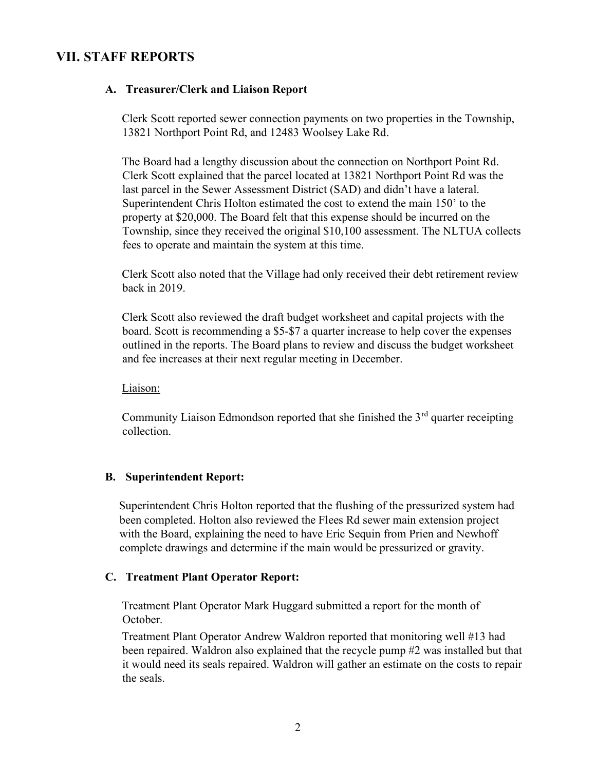# VII. STAFF REPORTS

#### A. Treasurer/Clerk and Liaison Report

Clerk Scott reported sewer connection payments on two properties in the Township, 13821 Northport Point Rd, and 12483 Woolsey Lake Rd.

The Board had a lengthy discussion about the connection on Northport Point Rd. Clerk Scott explained that the parcel located at 13821 Northport Point Rd was the last parcel in the Sewer Assessment District (SAD) and didn't have a lateral. Superintendent Chris Holton estimated the cost to extend the main 150' to the property at \$20,000. The Board felt that this expense should be incurred on the Township, since they received the original \$10,100 assessment. The NLTUA collects fees to operate and maintain the system at this time.

Clerk Scott also noted that the Village had only received their debt retirement review back in 2019.

Clerk Scott also reviewed the draft budget worksheet and capital projects with the board. Scott is recommending a \$5-\$7 a quarter increase to help cover the expenses outlined in the reports. The Board plans to review and discuss the budget worksheet and fee increases at their next regular meeting in December.

Liaison:

Community Liaison Edmondson reported that she finished the  $3<sup>rd</sup>$  quarter receipting collection.

#### B. Superintendent Report:

Superintendent Chris Holton reported that the flushing of the pressurized system had been completed. Holton also reviewed the Flees Rd sewer main extension project with the Board, explaining the need to have Eric Sequin from Prien and Newhoff complete drawings and determine if the main would be pressurized or gravity.

#### C. Treatment Plant Operator Report:

Treatment Plant Operator Mark Huggard submitted a report for the month of October.

Treatment Plant Operator Andrew Waldron reported that monitoring well #13 had been repaired. Waldron also explained that the recycle pump #2 was installed but that it would need its seals repaired. Waldron will gather an estimate on the costs to repair the seals.